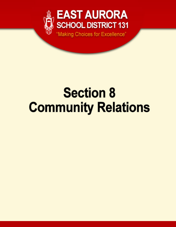

# **Section 8 Community Relations**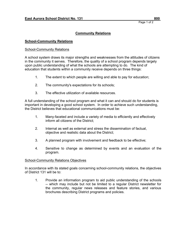#### **School-Community Relations**

#### School-Community Relations

A school system draws its major strengths and weaknesses from the attitudes of citizens in the community it serves. Therefore, the quality of a school program depends largely upon public understanding of what the schools are attempting to do. The kind of education that students within a community receive depends on three things:

- 1. The extent to which people are willing and able to pay for education;
- 2. The community's expectations for its schools;
- 3. The effective utilization of available resources.

A full understanding of the school program and what it can and should do for students is important in developing a good school system. In order to achieve such understanding, the District believes that educational communications must be:

- 1. Many-faceted and include a variety of media to efficiently and effectively inform all citizens of the District;
- 2. Internal as well as external and stress the dissemination of factual, objective and realistic data about the District;
- 3. A planned program with involvement and feedback to be effective;
- 4. Sensitive to change as determined by events and an evaluation of the program.

#### School-Community Relations Objectives

In accordance with its stated goals concerning school-community relations, the objectives of District 131 will be to:

1. Provide an information program to aid public understanding of the schools -- which may include but not be limited to a regular District newsletter for the community, regular news releases and feature stories, and various brochures describing District programs and policies.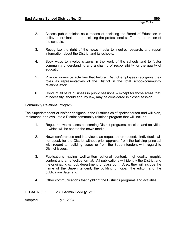- 2. Assess public opinion as a means of assisting the Board of Education in policy determination and assisting the professional staff in the operation of the schools.
- 3. Recognize the right of the news media to inquire, research, and report information about the District and its schools.
- 4. Seek ways to involve citizens in the work of the schools and to foster community understanding and a sharing of responsibility for the quality of education.
- 5. Provide in-service activities that help all District employees recognize their roles as representatives of the District in the total school-community relations effort.
- 6. Conduct all of its business in public sessions -- except for those areas that, of necessity, should and, by law, may be considered in closed session.

## Community Relations Program

The Superintendent or his/her designee is the District's chief spokesperson and will plan, implement, and evaluate a District community relations program that will include:

- 1. Regular news releases concerning District programs, policies, and activities -- which will be sent to the news media;
- 2. News conferences and interviews, as requested or needed. Individuals will not speak for the District without prior approval from the building principal with regard to building issues or from the Superintendent with regard to District issues;
- 3. Publications having well-written editorial content, high-quality graphic content and an effective format. All publications will identify the District and the originating school, department, or classroom. Also, they will include the name of the Superintendent, the building principal, the editor, and the publication date; and
- 4. Other communications that highlight the District's programs and activities.

LEGAL REF.: 23 III.Admin.Code §1.210.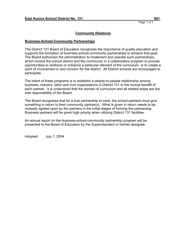## **Community Relations**

## **Business-School-Community Partnerships**

The District 131 Board of Education recognizes the importance of quality education and supports the formation of business-school-community partnerships to achieve that goal. The Board authorizes the administration to implement and operate such partnerships, which involve the school district and the community in a collaborative program to provide opportunities to reinforce or enhance a particular element of the curriculum, or to create a spirit of involvement in and concern for the district. All District schools are encouraged to participate.

The intent of these programs is to establish a people-to-people relationship among business, industry, labor and civic organizations in District 131 to the mutual benefit of each partner. It is understood that the domain of curriculum and all related areas are the sole responsibility of the Board.

The Board recognizes that for a true partnership to exist, the school partners must give something in return to their community partner(s). What is given in return needs to be mutually agreed upon by the partners in the initial stages of forming the partnership. Business partners will be given high priority when utilizing District 131 facilities.

An annual report on the business-school-community partnership program will be presented to the Board of Education by the Superintendent or his/her designee.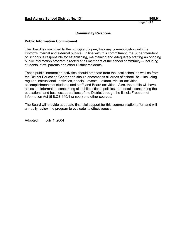## **Community Relations**

#### **Public Information Commitment**

The Board is committed to the principle of open, two-way communication with the District's internal and external publics. In line with this commitment, the Superintendent of Schools is responsible for establishing, maintaining and adequately staffing an ongoing public information program directed at all members of the school community -- including students, staff, parents and other District residents.

These public-information activities should emanate from the local school as well as from the District Education Center and should encompass all areas of school life -- including regular instructional activities, special events, extracurricular activities, accomplishments of students and staff, and Board activities. Also, the public will have access to information concerning all public actions, policies, and details concerning the educational and business operations of the District through the Illinois Freedom of Information Act (5 ILCS 140/1 *et seq*.) and other sources.

The Board will provide adequate financial support for this communication effort and will annually review the program to evaluate its effectiveness.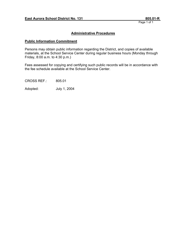## **Administrative Procedures**

## **Public Information Commitment**

Persons may obtain public information regarding the District, and copies of available materials, at the School Service Center during regular business hours (Monday through Friday, 8:00 a.m. to 4:30 p.m.)

Fees assessed for copying and certifying such public records will be in accordance with the fee schedule available at the School Service Center.

CROSS REF.: 805.01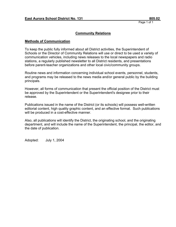## **Community Relations**

#### **Methods of Communication**

To keep the public fully informed about all District activities, the Superintendent of Schools or the Director of Community Relations will use or direct to be used a variety of communication vehicles, including news releases to the local newspapers and radio stations, a regularly published newsletter to all District residents, and presentations before parent-teacher organizations and other local civic/community groups.

Routine news and information concerning individual school events, personnel, students, and programs may be released to the news media and/or general public by the building principals.

However, all forms of communication that present the official position of the District must be approved by the Superintendent or the Superintendent's designee prior to their release.

Publications issued in the name of the District (or its schools) will possess well-written editorial content, high quality graphic content, and an effective format. Such publications will be produced in a cost-effective manner.

Also, all publications will identify the District, the originating school, and the originating department, and will include the name of the Superintendent, the principal, the editor, and the date of publication.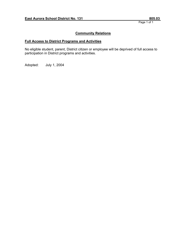## **Community Relations**

## **Full Access to District Programs and Activities**

No eligible student, parent, District citizen or employee will be deprived of full access to participation in District programs and activities.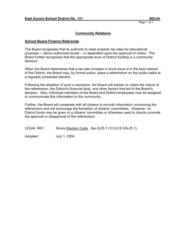## **Community Relations**

#### **School Board Finance Referenda**

The Board recognizes that its authority to raise property tax rates for educational purposes -- above authorized levels -- is dependent upon the approval of voters. The Board further recognizes that the appropriate level of District funding is a community decision.

When the Board determines that a tax rate increase or bond issue is in the best interest of the District, the Board may, by formal action, place a referendum on the public ballot at a regularly scheduled election.

Following the adoption of such a resolution, the Board will explain to voters the nature of the referendum, the District's financial facts, and other factors that led to the Board's decision. Also, individual members of the Board and District employees may be assigned to communicate this information to the community.

Further, the Board will cooperate with all citizens to provide information concerning the referendum and will encourage the formation of citizens' committees. However, no District funds may be given to a citizens' committee or otherwise used to directly promote the approval or disapproval of the referendum.

LEGAL REF.: Illinois Election Code, Sec.9-25.1 (10 ILCS 5/9-25.1).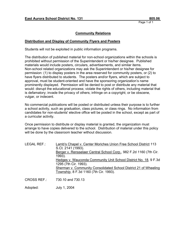## **Community Relations**

## **Distribution and Display of Community Flyers and Posters**

Students will not be exploited in public information programs.

The distribution of published material for non-school organizations within the schools is prohibited without permission of the Superintendent or his/her designee. Published materials would include posters, circulars, advertisements, and similar items. Non-school related organizations may ask the Superintendent or his/her designee for permission: (1) to display posters in the area reserved for community posters, or (2) to have flyers distributed to students. The posters and/or flyers, which are subject to approval, must be student-oriented and have the sponsoring organization's name prominently displayed. Permission will be denied to post or distribute any material that would: disrupt the educational process; violate the rights of others, including material that is defamatory; invade the privacy of others; infringe on a copyright; or be obscene, vulgar, or indecent.

No commercial publications will be posted or distributed unless their purpose is to further a school activity, such as graduation, class pictures, or class rings. No information from candidates for non-students' elective office will be posted in the school, except as part of a curricular activity.

Once permission to distribute or display material is granted, the organization must arrange to have copies delivered to the school. Distribution of material under this policy will be done by the classroom teacher without discussion.

| LEGAL REF.: | Lamb's Chapel v. Center Moriches Union Free School District 113    |
|-------------|--------------------------------------------------------------------|
|             | S.Ct. 2141 (1993).                                                 |
|             | Berger v. Rensselaer Central School Corp., 982 F.2d 1160 (7th Cir. |
|             | 1993).                                                             |
|             | Hedges v. Wauconda Community Unit School District No. 18, 9 F.3d   |
|             | 1295 (7th Cir. 1993).                                              |
|             | Sherman v. Community Consolidated School District 21 of Wheeling   |
|             | Township, 8 F.3d 1160 (7th Cir. 1993).                             |
|             |                                                                    |

CROSS REF.: 730.10 and 730.13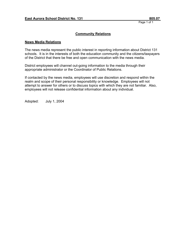## **Community Relations**

#### **News Media Relations**

The news media represent the public interest in reporting information about District 131 schools. It is in the interests of both the education community and the citizens/taxpayers of the District that there be free and open communication with the news media.

District employees will channel out-going information to the media through their appropriate administrator or the Coordinator of Public Relations.

If contacted by the news media, employees will use discretion and respond within the realm and scope of their personal responsibility or knowledge. Employees will not attempt to answer for others or to discuss topics with which they are not familiar. Also, employees will not release confidential information about any individual.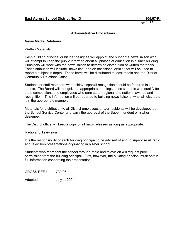#### **Administrative Procedures**

#### **News Media Relations**

#### Written Materials

Each building principal or his/her designee will appoint and support a news liaison who will attempt to keep the public informed about all phases of education in his/her building. Principals will work with the news liaison to determine distribution of written materials. That distribution will include "news tips" and an occasional article that will be used to report a subject in depth. These items will be distributed to local media and the District Community Relations Office.

Students or staff members who achieve special recognition should be featured in tip sheets. The Board will recognize at appropriate meetings those students who qualify for state competitions and employees who earn state, regional and national awards and recognition. This information will be reported to building news liaisons, who will distribute it in the appropriate manner.

Materials for distribution to all District employees and/or residents will be developed at the School Service Center and carry the approval of the Superintendent or his/her designee.

The District office will keep a copy of all news releases as long as appropriate.

#### Radio and Television

It is the responsibility of each building principal to be advised of and to supervise all radio and television presentations originating in his/her school.

Students who represent the school through radio and television will request prior permission from the building principal. First, however, the building principal must obtain full information concerning the presentation.

CROSS REF.: 730.06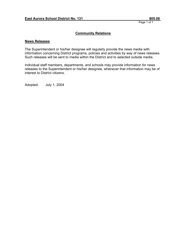## **Community Relations**

#### **News Releases**

The Superintendent or his/her designee will regularly provide the news media with information concerning District programs, policies and activities by way of news releases. Such releases will be sent to media within the District and to selected outside media.

Individual staff members, departments, and schools may provide information for news releases to the Superintendent or his/her designee, whenever that information may be of interest to District citizens.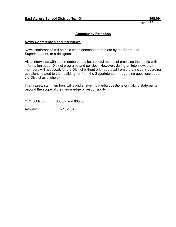## **Community Relations**

#### **News Conferences and Interviews**

News conferences will be held when deemed appropriate by the Board, the Superintendent, or a designee.

Also, interviews with staff members may be a useful means of providing the media with information about District programs and policies. However, during an interview, staff members will not speak for the District without prior approval from the principal (regarding questions related to their building) or from the Superintendent (regarding questions about the District as a whole).

In all cases, staff members will avoid answering media questions or making statements beyond the scope of their knowledge or responsibility.

CROSS REF.: 805.07 and 805.08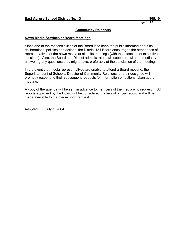## **Community Relations**

#### **News Media Services at Board Meetings**

Since one of the responsibilities of the Board is to keep the public informed about its deliberations, policies and actions, the District 131 Board encourages the attendance of representatives of the news media at all of its meetings (with the exception of executive sessions). Also, the Board and District administrators will cooperate with the media by answering any questions they might have, preferably at the conclusion of the meeting.

In the event that media representatives are unable to attend a Board meeting, the Superintendent of Schools, Director of Community Relations, or their designee will promptly respond to their subsequent requests for information on actions taken at that meeting.

A copy of the agenda will be sent in advance to members of the media who request it. All reports approved by the Board will be considered matters of official record and will be made available to the media upon request.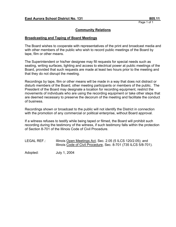## **Community Relations**

#### **Broadcasting and Taping of Board Meetings**

The Board wishes to cooperate with representatives of the print and broadcast media and with other members of the public who wish to record public meetings of the Board by tape, film or other means.

The Superintendent or his/her designee may fill requests for special needs such as seating, writing surfaces, lighting and access to electrical power at public meetings of the Board, provided that such requests are made at least two hours prior to the meeting and that they do not disrupt the meeting.

Recordings by tape, film or other means will be made in a way that does not distract or disturb members of the Board, other meeting participants or members of the public. The President of the Board may designate a location for recording equipment, restrict the movements of individuals who are using the recording equipment or take other steps that are deemed necessary to preserve the decorum of the meeting and facilitate the conduct of business.

Recordings shown or broadcast to the public will not identify the District in connection with the promotion of any commercial or political enterprise, without Board approval.

If a witness refuses to testify while being taped or filmed, the Board will prohibit such recording during the testimony of the witness, if such testimony falls within the protection of Section 8-701 of the Illinois Code of Civil Procedure.

| LEGAL REF.: | Illinois Open Meetings Act, Sec. 2.05 (5 ILCS 120/2.05); and     |
|-------------|------------------------------------------------------------------|
|             | Illinois Code of Civil Procedure, Sec. 8-701 (735 ILCS 5/8-701). |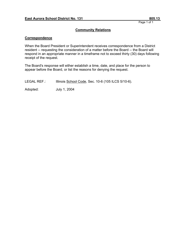## **Community Relations**

#### **Correspondence**

When the Board President or Superintendent receives correspondence from a District resident -- requesting the consideration of a matter before the Board -- the Board will respond in an appropriate manner in a timeframe not to exceed thirty (30) days following receipt of the request.

The Board's response will either establish a time, date, and place for the person to appear before the Board, or list the reasons for denying the request.

| Illinois School Code, Sec. 10-6 (105 ILCS 5/10-6).<br><b>LEGAL REF.:</b> |  |
|--------------------------------------------------------------------------|--|
|--------------------------------------------------------------------------|--|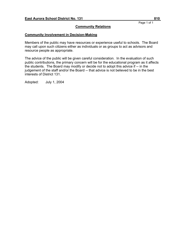## **Community Relations**

## **Community Involvement in Decision-Making**

Members of the public may have resources or experience useful to schools. The Board may call upon such citizens either as individuals or as groups to act as advisors and resource people as appropriate.

The advice of the public will be given careful consideration. In the evaluation of such public contributions, the primary concern will be for the educational program as it affects the students. The Board may modify or decide not to adopt this advice if -- in the judgement of the staff and/or the Board -- that advice is not believed to be in the best interests of District 131.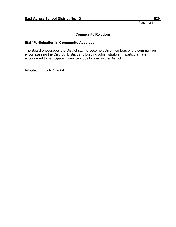#### **Staff Participation in Community Activities**

The Board encourages the District staff to become active members of the communities encompassing the District. District and building administrators, in particular, are encouraged to participate in service clubs located in the District.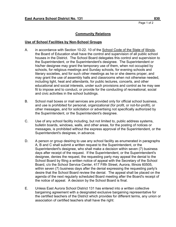#### **Use of School Facilities by Non-School Groups**

- A. in accordance with Section 10-22. 10 of the School Code of the State of Illinois, the Board of Education shall have the control and supervision of all public school houses in the District. The School Board delegates this control and supervision to the Superintendent, or the Superintendent's designee. The Superintendent or his/her designee may grant the temporary use of them, when not occupied by schools, for religious meetings and Sunday schools, for evening schools and literary societies, and for such other meetings as he or she deems proper, and may grant the use of assembly halls and classrooms when not otherwise needed, including light, heat and attendants, for public lectures, concerts, and other educational and social interests, under such provisions and control as he may see fit to impose and to conduct, or provide for the conducting of recreational, social and civic activities in the school buildings.
- B. School mail boxes or mail services are provided only for official school business, and use is prohibited for personal, organizational (for profit, or not-for-profit), or other messages, and for solicitation or advertising not specifically authorized by the Superintendent, or the Superintendent's designee.
- C. Use of any school facility including, but not limited to, public address systems, bulletin boards, windows, walls, and other areas, for the posting of notices or messages, is prohibited without the express approval of the Superintendent, or the Superintendent's designee, in advance.
- D. A person or group desiring to use any school facility as enumerated in paragraphs A, B and C shall submit a written request to the Superintendent, or the Superintendent's designee, who shall make a decision within seven (7) business days after receipt of the request. If the Superintendent, or the Superintendent's designee, denies the request, the requesting party may appeal the denial to the School Board by filing a written notice of appeal with the Secretary of the School Board, c/o the School Service Center, 417 Fifth Street, Aurora, Illinois 60505, within seven (7) business days after the denial expressing the requesting party's desire that the School Board review the denial. The appeal shall be placed on the agenda of the next regularly scheduled Board meeting after the Board's receipt of the notice of appeal. A decision by the School Board is final.
- E. Unless East Aurora School District 131 has entered into a written collective bargaining agreement with a designated exclusive bargaining representative for the certified teachers of the District which provides for different terms, any union or association of certified teachers shall have the right: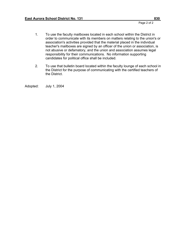- 1. To use the faculty mailboxes located in each school within the District in order to communicate with its members on matters relating to the union's or association's activities provided that the material placed in the individual teacher's mailboxes are signed by an officer of the union or association, is not abusive or defamatory, and the union and association assumes legal responsibility for their communications. No information supporting candidates for political office shall be included.
- 2. To use that bulletin board located within the faculty lounge of each school in the District for the purpose of communicating with the certified teachers of the District.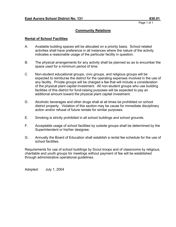## **Community Relations**

## **Rental of School Facilities**

- A. Available building spaces will be allocated on a priority basis. School related activities shall have preference in all instances where the nature of the activity indicates a reasonable usage of the particular facility in question.
- B. The physical arrangements for any activity shall be planned so as to encumber the space used for a minimum period of time.
- C Non-student educational groups, civic groups, and religious groups will be expected to reimburse the district for the operating expenses involved in the use of any facility. Private groups will be charged a fee that will include a consideration of the physical plant capital investment. All non-student groups who use building facilities of this district for fund-raising purposes will be expected to pay an additional amount toward the physical plant capital investment.
- D. Alcoholic beverages and other drugs shall at all times be prohibited on school district property. Violation of this section may be cause for immediate disciplinary action and/or refusal of future rentals for similar purposes.
- E. Smoking is strictly prohibited in all school buildings and school grounds.
- F. Acceptable usage of school facilities by outside groups shall be determined by the Superintendent or his/her designee.
- G. Annually the Board of Education shall establish a rental fee schedule for the use of school facilities.

Requirements for use of school buildings by Scout troops and of classrooms by religious, charitable and youth groups for meetings without payment of fee will be established through administrative operational guidelines.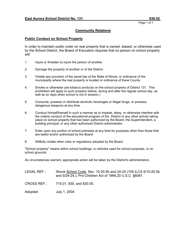## **Community Relations**

#### **Public Conduct on School Property**

In order to maintain public order on real property that is owned, leased, or otherwise used by the School District, the Board of Education requires that no person on school property will:

- 1. Injure or threaten to injure the person of another.
- 2. Damage the property of another or of the District.
- 3. Violate any provision of the penal law of the State of Illinois, or ordinance of the municipality where the real property is located or ordinance of Kane County.
- 4. Smoke or otherwise use tobacco products on the school property of District 131. This prohibition will apply to such property before, during and after the regular school day, as well as on days when school is not in session.)
- 5. Consume, possess or distribute alcoholic beverages or illegal drugs, or possess dangerous weapons at any time.
- 6. Conduct himself/herself in such a manner as to impede, delay, or otherwise interfere with the orderly conduct of the educational program of the District or any other activity taking place on school property that has been authorized by the Board, the Superintendent, a building principal, or any other authorized District administrator.
- 7. Enter upon any portion of school premises at any time for purposes other than those that are lawful and/or authorized by the Board.
- 8. Willfully violate other rules or regulations adopted by the Board.

"School property" means within school buildings, in vehicles used for school purposes, or on school grounds.

As circumstances warrant, appropriate action will be taken by the District's administrators.

LEGAL REF.: Illinois School Code, Sec. 10-20.5b and 24-24 (105 ILCS 5/10-20.5b and 5/24-24.); Pro-Children Act of 1994,20 U.S.C. §6081.

CROSS REF.: 715.01, 830, and 830.05.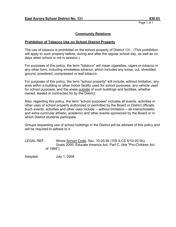## **Community Relations**

#### **Prohibition of Tobacco Use on School District Property**

The use of tobacco is prohibited on the school property of District 131. (This prohibition will apply to such property before, during and after the regular school day, as well as on days when school is not in session.)

For purposes of this policy, the term "tobacco" will mean cigarettes, cigars or tobacco in any other form, including smokeless tobacco, which includes any loose, cut, shredded, ground, powdered, compressed or leaf tobacco.

For purposes of this policy, the term "school property" will include, without limitation, any area within a building or other indoor facility used for school purposes, any vehicle used for school purposes, and the areas outside of such buildings and facilities, whether owned, leased or contracted for by the District.

Also, regarding this policy, the term "school purposes" includes all events, activities or other uses of school property authorized or permitted by the Board or District officials. Such events, activities and other uses include -- without limitation -- all interscholastic and extra-curricular athletic, academic and other events sponsored by the Board or in which District students participate.

Groups requesting use of school buildings in the District will be advised of this policy and will be required to adhere to it.

LEGAL REF.: Illinois School Code, Sec. 10-20.5b (105 ILCS 5/10-20.5b); Goals 2000: Educate America Act, Part C, (the "Pro-Children Act of 1994").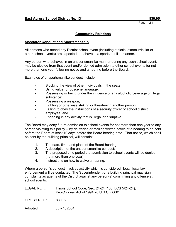# **Community Relations**

#### **Spectator Conduct and Sportsmanship**

All persons who attend any District school event (including athletic, extracurricular or other school events) are expected to behave in a sportsmanlike manner.

Any person who behaves in an unsportsmanlike manner during any such school event, may be ejected from that event and/or denied admission to other school events for not more than one year following notice and a hearing before the Board.

Examples of unsportsmanlike conduct include:

- Blocking the view of other individuals in the seats;
- Using vulgar or obscene language;
- Possessing or being under the influence of any alcoholic beverage or illegal substance;
- Possessing a weapon;
- Fighting or otherwise striking or threatening another person;
- Failing to obey the instructions of a security officer or school district employee; and
- Engaging in any activity that is illegal or disruptive.

The Board may deny future admission to school events for not more than one year to any person violating this policy -- by delivering or mailing written notice of a hearing to be held before the Board at least 10 days before the Board hearing date. That notice, which shall be sent by the building principal, will contain:

- 1. The date, time, and place of the Board hearing;
- 2. A description of the unsportsmanlike conduct;
- 3. The proposed time period that admission to school events will be denied (not more than one year);
- 4. Instructions on how to waive a hearing.

Where a person's conduct involves activity which is considered illegal, local law enforcement will be contacted. The Superintendent or a building principal may sign complaints as agents of the District against any person(s) committing any offense at school events.

| LEGAL REF.:        | Illinois School Code, Sec. 24-24 (105 ILCS 5/24-24);<br>Pro-Children Act of 1994, 20 U.S.C. §6081. |
|--------------------|----------------------------------------------------------------------------------------------------|
| <b>CROSS REF.:</b> | 830.02                                                                                             |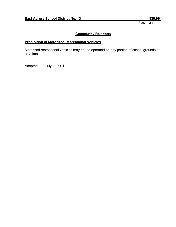# **Community Relations**

# **Prohibition of Motorized Recreational Vehicles**

Motorized recreational vehicles may not be operated on any portion of school grounds at any time.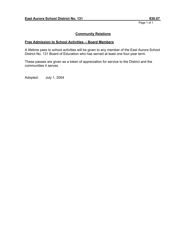# **Community Relations**

## **Free Admission to School Activities -- Board Members**

A lifetime pass to school activities will be given to any member of the East Aurora School District No. 131 Board of Education who has served at least one four-year term.

These passes are given as a token of appreciation for service to the District and the communities it serves.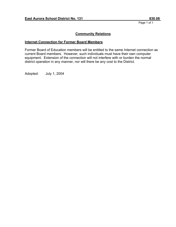## **Community Relations**

## **Internet Connection for Former Board Members**

Former Board of Education members will be entitled to the same Internet connection as current Board members. However, such individuals must have their own computer equipment. Extension of the connection will not interfere with or burden the normal district operation in any manner, nor will there be any cost to the District.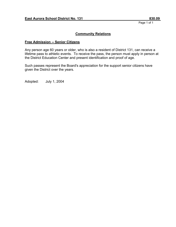# **Community Relations**

#### **Free Admission -- Senior Citizens**

Any person age 60 years or older, who is also a resident of District 131, can receive a lifetime pass to athletic events. To receive the pass, the person must apply in person at the District Education Center and present identification and proof of age.

Such passes represent the Board's appreciation for the support senior citizens have given the District over the years.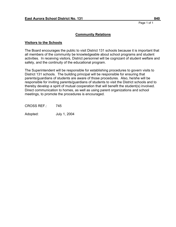#### **Visitors to the Schools**

The Board encourages the public to visit District 131 schools because it is important that all members of the community be knowledgeable about school programs and student activities. In receiving visitors, District personnel will be cognizant of student welfare and safety, and the continuity of the educational program.

The Superintendent will be responsible for establishing procedures to govern visits to District 131 schools. The building principal will be responsible for ensuring that parents/guardians of students are aware of those procedures. Also, he/she will be responsible for inviting parents/guardians of students to visit the District schools and to thereby develop a spirit of mutual cooperation that will benefit the student(s) involved. Direct communication to homes, as well as using parent organizations and school meetings, to promote the procedures is encouraged.

CROSS REF.: 745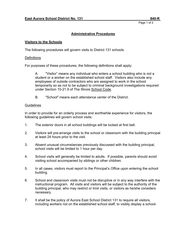Page 1 of 2  $\sim$  2  $\sim$  2  $\sim$  2  $\sim$  2  $\sim$  2  $\sim$  2  $\sim$  2  $\sim$  2  $\sim$  2  $\sim$  2  $\sim$  2  $\sim$  2  $\sim$  2  $\sim$  2  $\sim$  2  $\sim$  2  $\sim$  2  $\sim$  2  $\sim$  2  $\sim$  2  $\sim$  2  $\sim$  2  $\sim$  2  $\sim$  2  $\sim$  2  $\sim$  2  $\sim$  2  $\sim$  2  $\sim$  2  $\sim$  2

# **Administrative Procedures**

#### **Visitors to the Schools**

The following procedures will govern visits to District 131 schools.

#### **Definitions**

For purposes of these procedures, the following definitions shall apply:

A. "Visitor" means any individual who enters a school building who is not a student or a worker on the established school staff. Visitors also include any employees of outside contractors who are assigned to work in the school temporarily so as not to be subject to criminal background investigations required under Section 10-21.9 of The Illinois School Code.

B. "School" means each attendance center of the District.

#### **Guidelines**

In order to provide for an orderly process and worthwhile experience for visitors, the following guidelines will govern school visits:

- 1. The exterior doors in all school buildings will be locked at first bell.
- 2. Visitors will pre-arrange visits to the school or classroom with the building principal at least 24 hours prior to the visit.
- 3. Absent unusual circumstances previously discussed with the building principal, school visits will be limited to 1 hour per day.
- 4. School visits will generally be limited to adults. If possible, parents should avoid visiting school accompanied by siblings or other children.
- 5. In all cases, visitors must report to the Principal's Office upon entering the school building.
- 6. School and classroom visits must not be disruptive or in any way interfere with the instructional program. All visits and visitors will be subject to the authority of the building principal, who may restrict or limit visits, or visitors as he/she considers necessary.
- 7. It shall be the policy of Aurora East School District 131 to require all visitors, including workers not on the established school staff, to visibly display a school-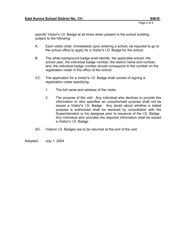specific Visitor's I.D. Badge at all times when present in the school building, subject to the following:

- A. Each visitor shall, immediately upon entering a school, be required to go to the school office to apply for a Visitor's I.D. Badge for the school.
- B. The white background badge shall identify: the applicable school; the school year; the individual badge number; the district name and number; and, the individual badge number should correspond to the number on the registration roster in the office of the school.
- CC. The application for a Visitor's I.D. Badge shall consist of signing a registration roster specifying:
	- 1. The full name and address of the visitor
	- 2. The purpose of the visit. Any individual who declines to provide this information or who specifies an unauthorized purpose shall not be issued a Visitor's I.D. Badge. Any doubt about whether a stated purpose is authorized shall be resolved by consultation with the Superintendent or his designee prior to issuance of the I.D. Badge. Any individual who provides the required information shall be issued a Visitor's I.D. Badge.
- DC. Visitors I.D. Badges are to be returned at the end of the visit.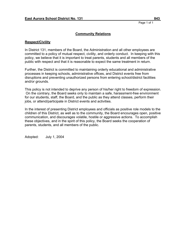#### **Respect/Civility**

In District 131, members of the Board, the Administration and all other employees are committed to a policy of mutual respect, civility, and orderly conduct. In keeping with this policy, we believe that it is important to treat parents, students and all members of the public with respect and that it is reasonable to expect the same treatment in return.

Further, the District is committed to maintaining orderly educational and administrative processes in keeping schools, administrative offices, and District events free from disruptions and preventing unauthorized persons from entering school/district facilities and/or grounds.

This policy is not intended to deprive any person of his/her right to freedom of expression. On the contrary, the Board seeks only to maintain a safe, harassment-free environment for our students, staff, the Board, and the public as they attend classes, perform their jobs, or attend/participate in District events and activities.

In the interest of presenting District employees and officials as positive role models to the children of this District, as well as to the community, the Board encourages open, positive communication, and discourages volatile, hostile or aggressive actions. To accomplish these objectives, and in the spirit of this policy, the Board seeks the cooperation of parents, students, and all members of the public.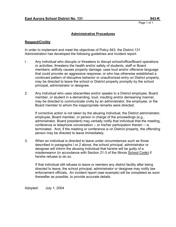# **Administrative Procedures**

#### **Respect/Civility**

In order to implement and meet the objectives of Policy 843, the District 131 Administration has developed the following guidelines and incident report:

- I . Any individual who disrupts or threatens to disrupt school/office/Board operations or activities; threatens the health and/or safety of students, staff or Board members; willfully causes property damage; uses loud and/or offensive language that could provoke an aggressive response; or who has otherwise established a continued pattern of disruptive behavior or unauthorized entry on District property, may be directed to leave the school or District property promptly by the school principal, administrator or designee.
- 2. Any individual who uses obscenities and/or speaks to a District employee, Board member, or student in a demanding, loud, insulting and/or demeaning manner, may be directed to communicate civilly by an administrator, the employee, or the Board member to whom the inappropriate remarks were directed.

If corrective action is not taken by the abusing individual, the District administrator, employee, Board member, or person in charge of the proceedings (e.g., administrator, Board president) may verbally notify that individual that the meeting, conference or telephone conversation -- or his/her participation therein -- is terminated. And, if the meeting or conference is on District property, the offending person may be directed to leave immediately.

3. When an individual is directed to leave under circumstances such as those described in paragraphs I or 2 above, the school principal, administrator or designee will inform the abusing individual that he/she will be guilty of a misdemeanor (in accordance with Section 21-3 of the Illinois School Code) if he/she refuses to do so.

If that individual still refuses to leave or reenters any district facility after being directed to leave**,** the school principal, administrator or designee may notify law enforcement officials**.** An incident report (see example) will be completed as soon thereafter as possible, to provide accurate details.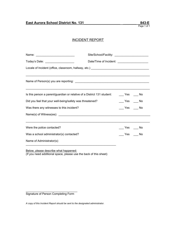# INCIDENT REPORT

| Today's Date: ____________________                                                                                    |  |                                                  |           |  |  |  |  |
|-----------------------------------------------------------------------------------------------------------------------|--|--------------------------------------------------|-----------|--|--|--|--|
|                                                                                                                       |  |                                                  |           |  |  |  |  |
| <u> 1989 - Johann Harry Harry Harry Harry Harry Harry Harry Harry Harry Harry Harry Harry Harry Harry Harry Harry</u> |  |                                                  |           |  |  |  |  |
| Is this person a parent/guardian or relative of a District 131 student:                                               |  | $\rule{1em}{0.15mm}$ Yes $\rule{1em}{0.15mm}$ No |           |  |  |  |  |
| Did you feel that your well-being/safety was threatened?                                                              |  |                                                  | $Yes$ No  |  |  |  |  |
| Was there any witnesses to this incident?                                                                             |  |                                                  | $Yes$ Mo  |  |  |  |  |
|                                                                                                                       |  |                                                  |           |  |  |  |  |
|                                                                                                                       |  |                                                  |           |  |  |  |  |
| Were the police contacted?                                                                                            |  |                                                  | Yes No    |  |  |  |  |
| Was a school administrator(s) contacted?                                                                              |  |                                                  | Yes<br>No |  |  |  |  |
| Name of Administrator(s):                                                                                             |  |                                                  |           |  |  |  |  |

Below, please describe what happened: (If you need additional space, please use the back of this sheet)

\_\_\_\_\_\_\_\_\_\_\_\_\_\_\_\_\_\_\_\_\_\_\_\_\_\_\_\_\_\_\_\_ Signature of Person Completing Form

*A copy of this Incident Report should be sent to the designated administrator.*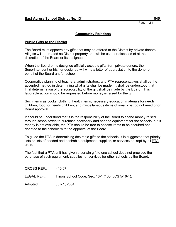#### **Public Gifts to the District**

The Board must approve any gifts that may be offered to the District by private donors. All gifts will be treated as District property and will be used or disposed of at the discretion of the Board or its designee.

When the Board or its designee officially accepts gifts from private donors, the Superintendent or his/her designee will write a letter of appreciation to the donor on behalf of the Board and/or school.

Cooperative planning of teachers, administrators, and PTA representatives shall be the accepted method in determining what gifts shall be made. It shall be understood that final determination of the acceptability of the gift shall be made by the Board. This favorable action should be requested before money is raised for the gift.

Such items as books, clothing, health items, necessary education materials for needy children, food for needy children, and miscellaneous items of small cost do not need prior Board approval.

It should be understood that it is the responsibility of the Board to spend money raised through school taxes to purchase necessary and needed equipment for the schools, but if money is not available, the PTA should be free to choose items to be acquired and donated to the schools with the approval of the Board.

To guide the PTA in determining desirable gifts to the schools, it is suggested that priority lists or lists of needed and desirable equipment, supplies, or services be kept by all PTA units.

The fact that a PTA unit has given a certain gift to one school does not preclude the purchase of such equipment, supplies, or services for other schools by the Board.

CROSS REF.: 410.07

LEGAL REF.: Illinois School Code, Sec. 16-1 (105 ILCS 5/16-1).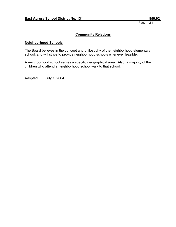## **Community Relations**

#### **Neighborhood Schools**

The Board believes in the concept and philosophy of the neighborhood elementary school, and will strive to provide neighborhood schools whenever feasible.

A neighborhood school serves a specific geographical area. Also, a majority of the children who attend a neighborhood school walk to that school.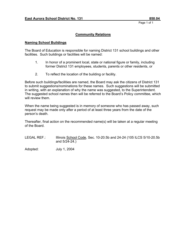# **Community Relations**

#### **Naming School Buildings**

The Board of Education is responsible for naming District 131 school buildings and other facilities. Such buildings or facilities will be named:

- 1. In honor of a prominent local, state or national figure or family, including former District 131 employees, students, parents or other residents, or
- 2. To reflect the location of the building or facility.

Before such buildings/facilities are named, the Board may ask the citizens of District 131 to submit suggestions/nominations for these names. Such suggestions will be submitted in writing, with an explanation of why the name was suggested, to the Superintendent. The suggested school names then will be referred to the Board's Policy committee, which will review them.

When the name being suggested is in memory of someone who has passed away, such request may be made only after a period of at least three years from the date of the person's death.

Thereafter, final action on the recommended name(s) will be taken at a regular meeting of the Board.

LEGAL REF.: Illinois School Code, Sec. 10-20.5b and 24-24 (105 ILCS 5/10-20.5b and 5/24-24.)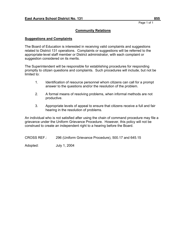## **Suggestions and Complaints**

The Board of Education is interested in receiving valid complaints and suggestions related to District 131 operations. Complaints or suggestions will be referred to the appropriate-level staff member or District administrator, with each complaint or suggestion considered on its merits.

The Superintendent will be responsible for establishing procedures for responding promptly to citizen questions and complaints. Such procedures will include, but not be limited to:

- 1. Identification of resource personnel whom citizens can call for a prompt answer to the questions and/or the resolution of the problem.
- 2. A formal means of resolving problems, when informal methods are not productive.
- 3. Appropriate levels of appeal to ensure that citizens receive a full and fair hearing in the resolution of problems.

An individual who is not satisfied after using the chain of command procedure may file a grievance under the Uniform Grievance Procedure. However, this policy will not be construed to create an independent right to a hearing before the Board.

CROSS REF.: 296 (Uniform Grievance Procedure), 500.17 and 645.15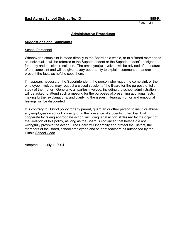## **Administrative Procedures**

#### **Suggestions and Complaints**

#### School Personnel

Whenever a complaint is made directly to the Board as a whole, or to a Board member as an individual, it will be referred to the Superintendent or the Superintendent's designee for study and possible resolution. The employee(s) involved will be advised of the nature of the complaint and will be given every opportunity to explain, comment on, and/or present the facts as he/she sees them.

If it appears necessary, the Superintendent, the person who made the complaint, or the employee involved, may request a closed session of the Board for the purpose of fuller study of the matter. Generally, all parties involved, including the school administration, will be asked to attend such a meeting for the purposes of presenting additional facts, making further explanations, and clarifying the issues. Hearsay, rumor and emotional feelings will be discounted.

It is contrary to District policy for any parent, guardian or other person to insult or abuse any employee on school property or in the presence of students. The Board will cooperate by taking appropriate action, including legal action, if desired by the object of the violation of this policy, as long as the Board is convinced that he/she did not wrongfully provoke the action. The Board will indemnify and protect the District, the members of the Board, school employees and student teachers as authorized by the Illinois School Code.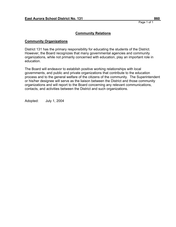## **Community Organizations**

District 131 has the primary responsibility for educating the students of the District. However, the Board recognizes that many governmental agencies and community organizations, while not primarily concerned with education, play an important role in education.

The Board will endeavor to establish positive working relationships with local governments, and public and private organizations that contribute to the education process and to the general welfare of the citizens of the community. The Superintendent or his/her designee will serve as the liaison between the District and those community organizations and will report to the Board concerning any relevant communications, contacts, and activities between the District and such organizations.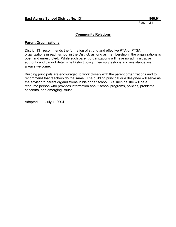## **Community Relations**

#### **Parent Organizations**

District 131 recommends the formation of strong and effective PTA or PTSA organizations in each school in the District, as long as membership in the organizations is open and unrestricted. While such parent organizations will have no administrative authority and cannot determine District policy, their suggestions and assistance are always welcome.

Building principals are encouraged to work closely with the parent organizations and to recommend that teachers do the same. The building principal or a designee will serve as the advisor to parent organizations in his or her school. As such he/she will be a resource person who provides information about school programs, policies, problems, concerns, and emerging issues.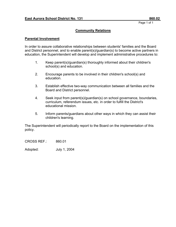## **Community Relations**

#### **Parental Involvement**

In order to assure collaborative relationships between students' families and the Board and District personnel, and to enable parent(s)/guardian(s) to become active partners in education, the Superintendent will develop and implement administrative procedures to:

- 1. Keep parent(s)/guardian(s) thoroughly informed about their children's school(s) and education.
- 2. Encourage parents to be involved in their children's school(s) and education.
- 3. Establish effective two-way communication between all families and the Board and District personnel.
- 4. Seek input from parent(s)/guardian(s) on school governance, boundaries, curriculum, referendum issues, etc. in order to fulfill the District's educational mission.
- 5. Inform parents/guardians about other ways in which they can assist their children's learning.

The Superintendent will periodically report to the Board on the implementation of this policy.

CROSS REF.: 860.01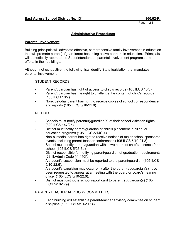## **Administrative Procedures**

#### **Parental Involvement**

Building principals will advocate effective, comprehensive family involvement in education that will promote parent(s)/guardian(s) becoming active partners in education. Principals will periodically report to the Superintendent on parental involvement programs and efforts in their buildings.

Although not exhaustive, the following lists identify State legislation that mandates parental involvement:

## STUDENT RECORDS

- Parent/guardian has right of access to child's records (105 ILCS 10/5).
- Parent/guardian has the right to challenge the content of child's records (105 ILCS 10/7).
- Non-custodial parent has right to receive copies of school correspondence and reports (105 ILCS 5/10-21.8).

#### NOTICES

- Schools must notify parent(s)/guardian(s) of their school visitation rights (820 ILCS 147/25).
- District must notify parent/guardian of child's placement in bilingual education programs (105 ILCS 5/14C-4).
- Non-custodial parent has right to receive notices of major school sponsored events, including parent-teacher conferences (105 ILCS 5/10-21.8).
- School must notify parent/guardian within two hours of child's absence from school (105 ILCS 5/26-3b).
- District responsible for notifying parent/guardian of graduation requirements (23 Ill.Admin.Code §1.440i).
- A student's suspension must be reported to the parent/guardian (105 ILCS 5/10-22.6).
- A student's expulsion may occur only after the parent(s)/guardian(s) have been requested to appear at a meeting with the board or board's hearing officer (105 ILCS 5/10-22.6).
- District must distribute school report card to parent(s)/guardian(s) (105 ILCS 5/10-17a).

## PARENT-TEACHER ADVISORY COMMITTEES

Each building will establish a parent-teacher advisory committee on student discipline (105 ILCS 5/10-20.14).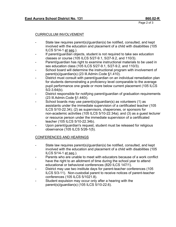## CURRICULUM INVOLVEMENT

- State law requires parent(s)/guardian(s) be notified, consulted, and kept involved with the education and placement of a child with disabilities (105 ILCS 5/14-1 et seq.).
- If parent/guardian objects, student is not required to take sex education classes or course (105 ILCS 5/27-9.1, 5/27-9.2, and 110/3).
- Parent/guardian has right to examine instructional materials to be used in sex education class (105 ILCS 5/27-9.1, 5/27-9.2, and 110/3).
- School board will determine the instructional program with involvement of parent(s)/guardian(s) (23 Ill.Admin.Code §1.410).
- District must consult with parent/guardian on an individual remediation plan for students demonstrating a proficiency level comparable to the average pupil performance one grade or more below current placement (105 ILCS 5/2-3.64(b).
- District responsible for notifying parent/guardian of graduation requirements (23 Ill.Admin.Code §1.440i).
- School boards may use parent(s)/guardian(s) as volunteers (1) as assistants under the immediate supervision of a certificated teacher (105 ILCS 5/10-22.34); (2) as supervisors, chaperones, or sponsors for non-academic activities (105 ILCS 5/10 -22.34a); and (3) as a guest lecturer or resource person under the immediate supervision of a certificated teacher (105 ILCS 5/10-22.34b).
- Upon parent/guardian's request, student must be released for religious observance (105 ILCS 5/26-1(5).

## CONFERENCES AND HEARINGS

- State law requires parent(s)/guardian(s) be notified, consulted, and kept involved with the education and placement of a child with disabilities (105 ILCS 5/14-1 et seq.).
- Parents who are unable to meet with educators because of a work conflict have the right to an allotment of time during the school year to attend educational or behavioral conferences (820 ILCS 147/1).
- District may use two institute days for parent-teacher conferences (105 ILCS 5/3-11). Non-custodial parent to receive notices of parent-teacher conferences (105 ILCS 5/1021.8).
- Student expulsion may occur only after a hearing with the parent(s)/guardian(s) (105 ILCS 5/10-22.6).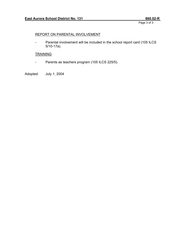Page 3 of 3

## REPORT ON PARENTAL INVOLVEMENT

- Parental involvement will be included in the school report card (105 ILCS 5/10-17a).

# **TRAINING**

- Parents as teachers program (105 ILCS 225/5).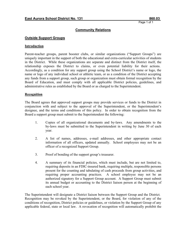#### **Outside Support Groups**

#### **Introduction**

Parent-teacher groups, parent booster clubs, or similar organizations ("Support Groups") are uniquely important in the support of both the educational and extra-curricular activities of students in the District. While these organizations are separate and distinct from the District itself, the relationship exposes the District to claims, or even potential liability for their actions. Accordingly, as a condition for any support group using the School District's name or logo, the name or logo of any individual school or athletic team, or as a condition of the District accepting any funds from a support group, such group or organization must obtain formal recognition by the Board of Education, and must comply with all applicable District policies, guidelines, and administrative rules as established by the Board or as charged to the Superintendent.

#### **Recognition**

The Board agrees that approved support groups may provide services or funds to the District in conjunction with and subject to the approval of the Superintendent, or the Superintendent's designee, and the terms and conditions of this policy. In order to obtain recognition from the Board a support group must submit to the Superintendent the following:

- 1. Copies of all organizational documents and by-laws. Any amendments to the by-laws must be submitted to the Superintendent in writing by June 30 of each year.
- 2. A list of names, addresses, e-mail addresses, and other appropriate contact information of all officers, updated annually. School employees may not be an officer of a recognized Support Group.
- 3. Proof of bonding of the support group's treasurer.
- 4. A summary of its financial policies, which must include, but are not limited to, requiring deposits in an FDIC-insured bank, requiring multiple, responsible persons present for the counting and tabulating of cash proceeds from group activities, and requiring proper accounting practices. A school employee may not be an authorized signatory for a Support Group account. A Support Group must submit its annual budget or accounting to the District liaison person at the beginning of each school year.

The Superintendent will designate a District liaison between the Support Group and the District. Recognition may be revoked by the Superintendent, or the Board, for violation of any of the conditions of recognition, District policies or guidelines, or violation by the Support Group of any applicable federal, state or local law. A revocation of recognition will automatically prohibit the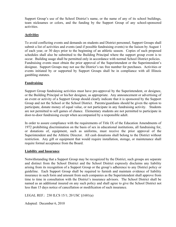Support Group's use of the School District's name, or the name of any of its school buildings, team nicknames or colors, and the funding by the Support Group of any school-sponsored activities.

## **Activities**

To avoid conflicting events and demands on students and District personnel, Support Groups shall submit a list of activities and events (and if possible fundraising events) to the liaison by August 1 of each year, or 30 days prior to the beginning of an athletic season. Copies of such proposed schedules shall also be submitted to the Building Principal where the support group event is to occur. Building usage shall be permitted only in accordance with normal School District policies. Fundraising events must obtain the prior approval of the Superintendent or the Superintendent's designee. Support Groups may not use the District's tax free number for purchases. Activities or events initiated by or supported by Support Groups shall be in compliance with all Illinois gambling statutes.

## **Fundraising**

Support Group fundraising activities must have pre-approval by the Superintendent, or designee, or the Building Principal or his/her designee, as appropriate. Any announcement or advertising of an event or activity of a Support Group should clearly indicate that it is sponsored by the Support Group and not the School or the School District. Parents/guardians should be given the option to participate, donate money of equal value, or not participate in any fundraising activity. Students are not permitted to sell games of chance. Elementary students are not permitted to participate in door-to-door fundraising except when accompanied by a responsible adult.

In order to assure compliance with the requirements of Title IX of the Education Amendments of 1972 prohibiting discrimination on the basis of sex in educational institutions, all fundraising for, or donations of, equipment, such as uniforms, must receive the prior approval of the Superintendent and the Athletic Director. All cash donations shall belong to the District without restriction. Any gift or equipment that would require installation, storage, or maintenance shall require formal acceptance from the Board.

## **Liability and Insurance**

Notwithstanding that a Support Group may be recognized by the District, such groups are separate and distinct from the School District and the School District expressly disclaims any liability arising from its recognition of a Support Group or the group's adherence to any District policy or guideline. Each Support Group shall be required to furnish and maintain evidence of liability insurance in such form and amount from such companies as the Superintendent shall approve from time to time in consultation with the District's insurance advisors. The School District shall be named as an additional insured on any such policy and shall agree to give the School District not less than 15 days notice of cancellation or modification of such insurance.

LEGAL REF.: 230 ILCS 15/1; 20 USC §1681(a)

Adopted: December 6, 2010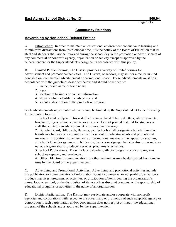## **Community Relations**

#### **Advertising by Non-school Related Entities**

A. Introduction: In order to maintain an educational environment conducive to learning and to minimize distractions from instructional time, it is the policy of the Board of Education that its staff and students shall not be involved during the school day in the promotion or advertisement of any commercial or nonprofit agency, organization or activity except as approved by the Superintendent, or the Superintendent's designee, in accordance with this policy.

B. Limited Public Forums: The District provides a variety of limited forums for advertisement and promotional activities. The District, or schools, may sell for a fee, or in kind contribution, commercial advertisement or promotional space. These advertisements must be in accordance with the guidelines described below and should be limited to:

- 1. name, brand name or trade name,
- 2. logo,
- 3. location of business or contact information,
- 4. slogans which identify the advertiser, and
- 5. a neutral description of the products or program

Such advertisements or promotional matter may be limited by the Superintendent to the following limited public forums:

1. School mail or flyers. This is defined to mean hand delivered letters, advertisements, brochures, flyers, announcements, or any other form of printed material for students or staff that contains an advertisement or promotional message.

2. Bulletin Board, Billboards, Banners, etc. Schools shall designate a bulletin board or boards in a hallway or a common area of a school for advertisements and promotional materials. In addition, advertisements or promotional materials may appear on stadium, athletic field and/or gymnasium billboards, banners or signage that advertise or promote an outside organization's products, services, programs or activities.

3. School Publications. These include calendars, athletic programs, concert programs, school newspaper, and yearbooks.

4. Other. Electronic communications or other medium as may be designated from time to time by the Board or the Superintendent.

C. Advertising and Promotional Activities. Advertising and promotional activities include the publication or communication of information about a commercial or nonprofit organization's products, services, programs, or activities, or distribution of items bearing the organization's name, logo or symbol, or the distribution of items such as discount coupons, or the sponsorship of educational programs or activities in the name of an organization.

D. District Participation. The District may participate and/or cooperate with nonprofit agencies and corporations with respect to the advertising or promotion of such nonprofit agency or corporation if such participation and/or cooperation does not restrict or impair the educational program of the schools and is approved by the Superintendent.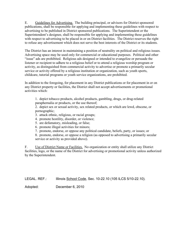E. Guidelines for Advertising. The building principal, or advisors for District sponsored publications, shall be responsible for applying and implementing these guidelines with respect to advertising to be published in District sponsored publications. The Superintendent or the Superintendent's designee, shall be responsible for applying and implementing these guidelines with respect to advertising to be placed in or on District facilities. The District reserves the right to refuse any advertisement which does not serve the best interests of the District or its students.

The District has an interest in maintaining a position of neutrality on political and religious issues. Advertising space may be used only for commercial or educational purposes. Political and other "issue" ads are prohibited. Religious ads designed or intended to evangelize or persuade the listener or recipient to adhere to a religious belief or to attend a religious worship program or activity, as distinguished from commercial activity to advertise or promote a primarily secular service or activity offered by a religious institution or organization, such as youth sports, childcare, tutorial programs or youth service organizations, are prohibited.

In addition to the foregoing, for placement in any District publications or for placement in or on any District property or facilities, the District shall not accept advertisements or promotional activities which:

1. depict tobacco products, alcohol products, gambling, drugs, or drug-related paraphernalia or products, or the use thereof;

2. depict sex or sexual activity, sex related products, or which are lewd, obscene, or pornographic;

3. attack ethnic, religious, or racial groups;

4. promote hostility, disorder, or violence;

5. are defamatory, misleading, or false;

6. promote illegal activities for minors;

7. promote, endorse, or oppose any political candidate, beliefs, party, or issues; or

8. promote, endorse, or oppose a religion (as opposed to advertising a primarily secular service or activity as provided above).

F. Use of District Name or Facilities. No organization or entity shall utilize any District facilities, logo, or the name of the District for advertising or promotional activity unless authorized by the Superintendent.

LEGAL. REF.: Illinois School Code, Sec. 10-22.10 (105 ILCS 5/10-22.10).

Adopted: December 6, 2010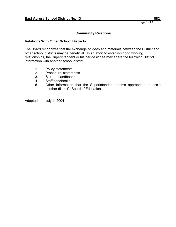## **Relations With Other School Districts**

The Board recognizes that the exchange of ideas and materials between the District and other school districts may be beneficial. In an effort to establish good working relationships, the Superintendent or his/her designee may share the following District information with another school district:

- 1. Policy statements
- 2. Procedural statements
- 3. Student handbooks
- 4. Staff handbooks
- 5. Other information that the Superintendent deems appropriate to assist another district's Board of Education.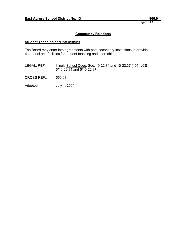# **Community Relations**

## **Student Teaching and Internships**

The Board may enter into agreements with post-secondary institutions to provide personnel and facilities for student teaching and internships.

LEGAL. REF.: Illinois School Code, Sec. 10-22.34 and 10-22.37 (105 ILCS 5/10-22.34 and 5/10-22.37)

CROSS REF.: 550.03